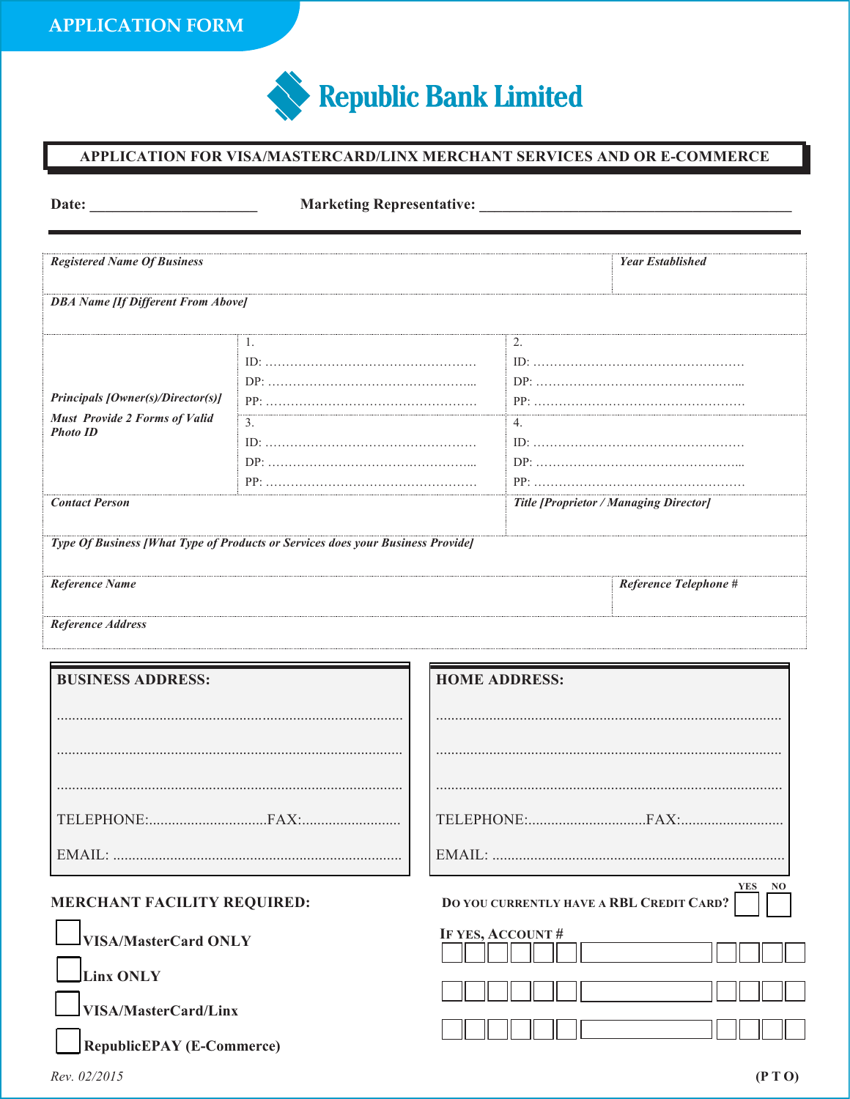

## **APPLICATION FOR VISA/MASTERCARD/LINX MERCHANT SERVICES AND OR E-COMMERCE**

| Date:                                                                                                                      | <b>Marketing Representative:</b> |                      |                                                           |                                                        |
|----------------------------------------------------------------------------------------------------------------------------|----------------------------------|----------------------|-----------------------------------------------------------|--------------------------------------------------------|
| <b>Registered Name Of Business</b>                                                                                         |                                  |                      | <b>Year Established</b>                                   |                                                        |
| <b>DBA Name [If Different From Above]</b>                                                                                  |                                  |                      |                                                           |                                                        |
| Principals [Owner(s)/Director(s)]<br><b>Must Provide 2 Forms of Valid</b><br><b>Photo ID</b><br><b>Contact Person</b>      | 1.<br>3 <sub>1</sub>             |                      | 2.<br>4.<br><b>Title [Proprietor / Managing Director]</b> |                                                        |
| Type Of Business [What Type of Products or Services does your Business Provide]<br>Reference Name<br>Reference Telephone # |                                  |                      |                                                           |                                                        |
| Reference Address                                                                                                          |                                  |                      |                                                           |                                                        |
| <b>BUSINESS ADDRESS:</b>                                                                                                   |                                  | <b>HOME ADDRESS:</b> |                                                           |                                                        |
|                                                                                                                            |                                  |                      |                                                           |                                                        |
| MERCHANT FACILITY REQUIRED:                                                                                                |                                  |                      |                                                           | <b>YES</b><br>DO YOU CURRENTLY HAVE A RBL CREDIT CARD? |
| <b>VISA/MasterCard ONLY</b><br><b>Linx ONLY</b><br><b>VISA/MasterCard/Linx</b><br><b>RepublicEPAY</b> (E-Commerce)         |                                  | IF YES, ACCOUNT#     |                                                           |                                                        |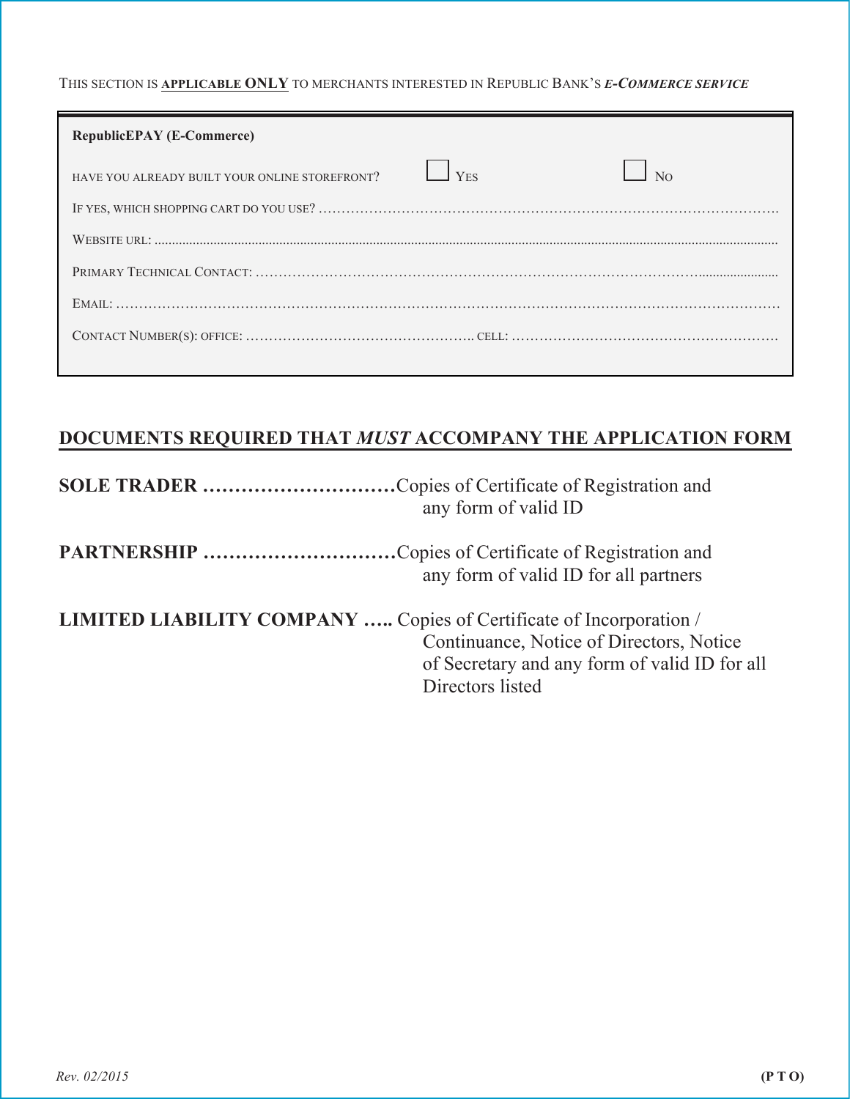THIS SECTION IS **APPLICABLE ONLY** TO MERCHANTS INTERESTED IN REPUBLIC BANK'S *E-COMMERCE SERVICE*

| <b>RepublicEPAY (E-Commerce)</b>               |                         |  |
|------------------------------------------------|-------------------------|--|
| HAVE YOU ALREADY BUILT YOUR ONLINE STOREFRONT? | $\vert$ Y <sub>FS</sub> |  |
|                                                |                         |  |
|                                                |                         |  |
|                                                |                         |  |
|                                                |                         |  |
|                                                |                         |  |
|                                                |                         |  |

## **DOCUMENTS REQUIRED THAT** *MUST* **ACCOMPANY THE APPLICATION FORM**

| <b>SOLE TRADER</b> Copies of Certificate of Registration and<br>any form of valid ID                                                                                                 |
|--------------------------------------------------------------------------------------------------------------------------------------------------------------------------------------|
| any form of valid ID for all partners                                                                                                                                                |
| LIMITED LIABILITY COMPANY  Copies of Certificate of Incorporation /<br>Continuance, Notice of Directors, Notice<br>of Secretary and any form of valid ID for all<br>Directors listed |